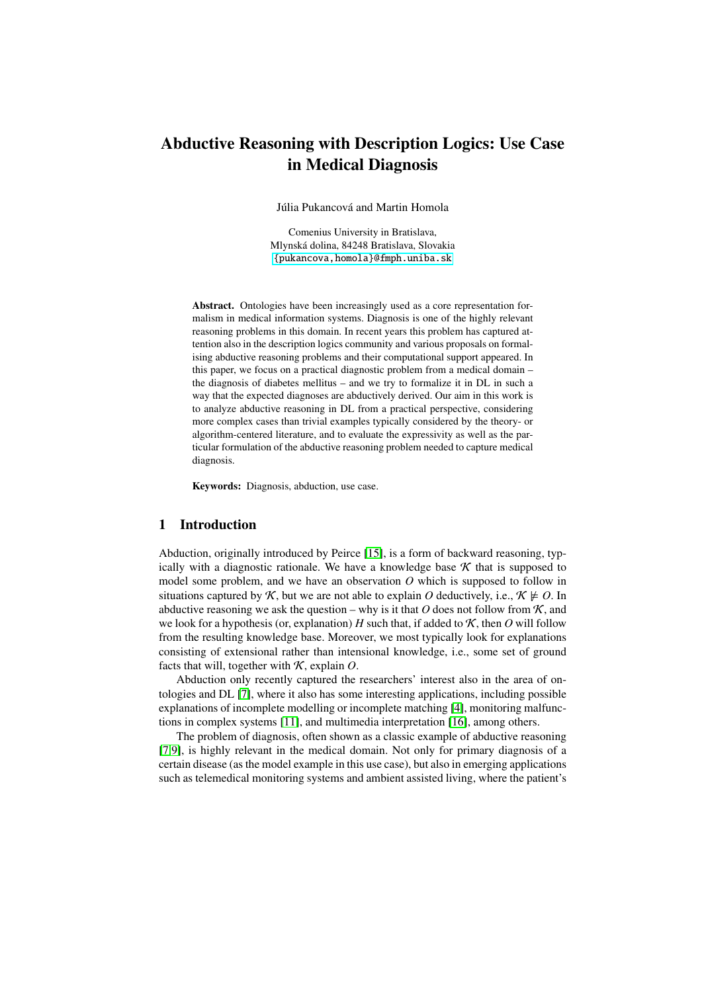# Abductive Reasoning with Description Logics: Use Case in Medical Diagnosis

Júlia Pukancová and Martin Homola

Comenius University in Bratislava, Mlynská dolina, 84248 Bratislava, Slovakia <{pukancova,homola}@fmph.uniba.sk>

Abstract. Ontologies have been increasingly used as a core representation formalism in medical information systems. Diagnosis is one of the highly relevant reasoning problems in this domain. In recent years this problem has captured attention also in the description logics community and various proposals on formalising abductive reasoning problems and their computational support appeared. In this paper, we focus on a practical diagnostic problem from a medical domain – the diagnosis of diabetes mellitus – and we try to formalize it in DL in such a way that the expected diagnoses are abductively derived. Our aim in this work is to analyze abductive reasoning in DL from a practical perspective, considering more complex cases than trivial examples typically considered by the theory- or algorithm-centered literature, and to evaluate the expressivity as well as the particular formulation of the abductive reasoning problem needed to capture medical diagnosis.

Keywords: Diagnosis, abduction, use case.

## 1 Introduction

Abduction, originally introduced by Peirce [\[15\]](#page-11-0), is a form of backward reasoning, typically with a diagnostic rationale. We have a knowledge base  $K$  that is supposed to model some problem, and we have an observation *O* which is supposed to follow in situations captured by K, but we are not able to explain O deductively, i.e.,  $K \not\models O$ . In abductive reasoning we ask the question – why is it that  $O$  does not follow from  $K$ , and we look for a hypothesis (or, explanation)  $H$  such that, if added to  $K$ , then  $O$  will follow from the resulting knowledge base. Moreover, we most typically look for explanations consisting of extensional rather than intensional knowledge, i.e., some set of ground facts that will, together with  $K$ , explain  $O$ .

Abduction only recently captured the researchers' interest also in the area of ontologies and DL [\[7\]](#page-11-1), where it also has some interesting applications, including possible explanations of incomplete modelling or incomplete matching [\[4\]](#page-11-2), monitoring malfunctions in complex systems [\[11\]](#page-11-3), and multimedia interpretation [\[16\]](#page-11-4), among others.

The problem of diagnosis, often shown as a classic example of abductive reasoning [\[7,](#page-11-1)[9\]](#page-11-5), is highly relevant in the medical domain. Not only for primary diagnosis of a certain disease (as the model example in this use case), but also in emerging applications such as telemedical monitoring systems and ambient assisted living, where the patient's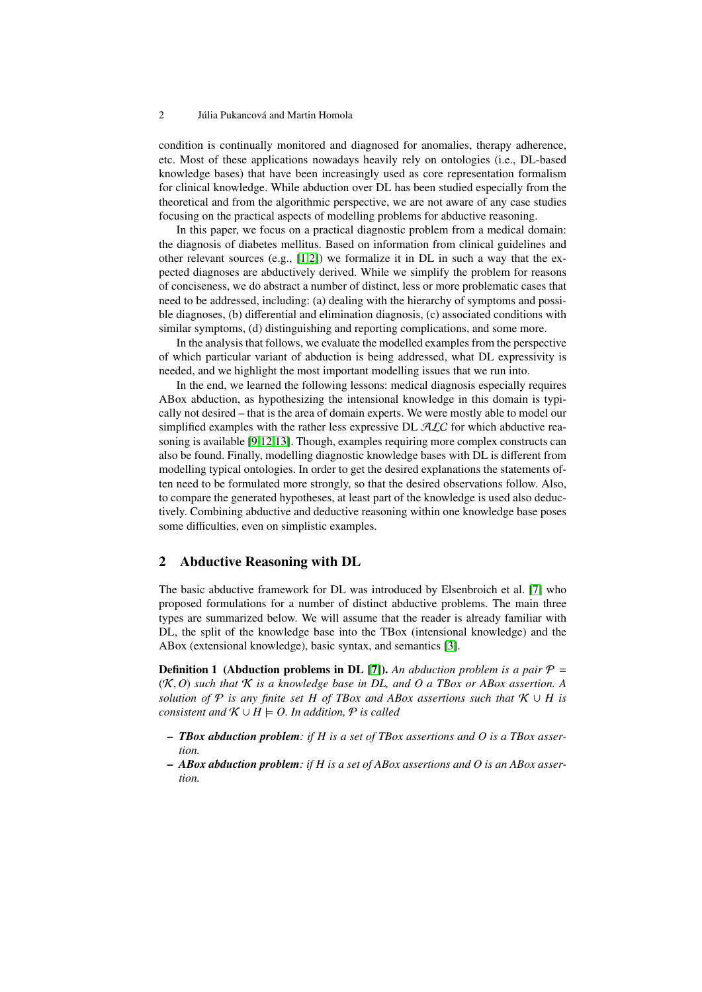condition is continually monitored and diagnosed for anomalies, therapy adherence, etc. Most of these applications nowadays heavily rely on ontologies (i.e., DL-based knowledge bases) that have been increasingly used as core representation formalism for clinical knowledge. While abduction over DL has been studied especially from the theoretical and from the algorithmic perspective, we are not aware of any case studies focusing on the practical aspects of modelling problems for abductive reasoning.

In this paper, we focus on a practical diagnostic problem from a medical domain: the diagnosis of diabetes mellitus. Based on information from clinical guidelines and other relevant sources (e.g.,  $[1,2]$  $[1,2]$ ) we formalize it in DL in such a way that the expected diagnoses are abductively derived. While we simplify the problem for reasons of conciseness, we do abstract a number of distinct, less or more problematic cases that need to be addressed, including: (a) dealing with the hierarchy of symptoms and possible diagnoses, (b) differential and elimination diagnosis, (c) associated conditions with similar symptoms, (d) distinguishing and reporting complications, and some more.

In the analysis that follows, we evaluate the modelled examples from the perspective of which particular variant of abduction is being addressed, what DL expressivity is needed, and we highlight the most important modelling issues that we run into.

In the end, we learned the following lessons: medical diagnosis especially requires ABox abduction, as hypothesizing the intensional knowledge in this domain is typically not desired – that is the area of domain experts. We were mostly able to model our simplified examples with the rather less expressive DL  $ALC$  for which abductive reasoning is available [\[9](#page-11-5)[,12](#page-11-8)[,13\]](#page-11-9). Though, examples requiring more complex constructs can also be found. Finally, modelling diagnostic knowledge bases with DL is different from modelling typical ontologies. In order to get the desired explanations the statements often need to be formulated more strongly, so that the desired observations follow. Also, to compare the generated hypotheses, at least part of the knowledge is used also deductively. Combining abductive and deductive reasoning within one knowledge base poses some difficulties, even on simplistic examples.

## 2 Abductive Reasoning with DL

The basic abductive framework for DL was introduced by Elsenbroich et al. [\[7\]](#page-11-1) who proposed formulations for a number of distinct abductive problems. The main three types are summarized below. We will assume that the reader is already familiar with DL, the split of the knowledge base into the TBox (intensional knowledge) and the ABox (extensional knowledge), basic syntax, and semantics [\[3\]](#page-11-10).

<span id="page-1-0"></span>**Definition 1** (Abduction problems in DL [\[7\]](#page-11-1)). An abduction problem is a pair  $\mathcal{P} =$ (K, *<sup>O</sup>*) *such that* <sup>K</sup> *is a knowledge base in DL, and O a TBox or ABox assertion. A solution of*  $P$  *is any finite set H of TBox and ABox assertions such that*  $K \cup H$  *is consistent and*  $K \cup H \models O$ . In addition,  $P$  is called

- *TBox abduction problem: if H is a set of TBox assertions and O is a TBox assertion.*
- *ABox abduction problem: if H is a set of ABox assertions and O is an ABox assertion.*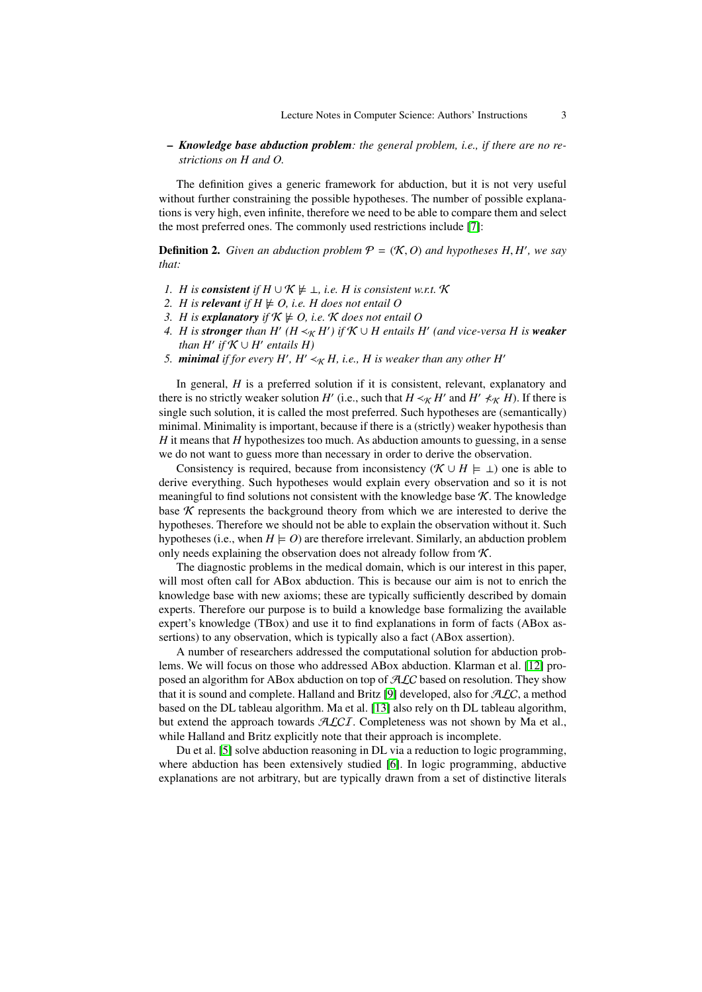### – *Knowledge base abduction problem: the general problem, i.e., if there are no restrictions on H and O.*

The definition gives a generic framework for abduction, but it is not very useful without further constraining the possible hypotheses. The number of possible explanations is very high, even infinite, therefore we need to be able to compare them and select the most preferred ones. The commonly used restrictions include [\[7\]](#page-11-1):

**Definition 2.** *Given an abduction problem*  $P = (\mathcal{K}, O)$  *and hypotheses H, H', we say* that: *that:*

- *1. H* is *consistent* if  $H \cup K \not\models \bot$ , *i.e. H* is consistent w.r.t.  $K$
- *2. H* is **relevant** if  $H \not\models O$ , i.e. *H* does not entail *O*
- *3. H* is explanatory if  $K \not\models O$ , i.e. K does not entail O
- *4. H* is **stronger** than  $H'$  ( $H \prec_K H'$ ) if  $K \cup H$  entails  $H'$  (and vice-versa H is weaker  $\mathit{than H' if }$   $\mathcal{K} \cup H'$   $\mathit{entails H}$
- *5. minimal* if for every H', H'  $\prec_K H$ , i.e., H is weaker than any other H'

In general, *H* is a preferred solution if it is consistent, relevant, explanatory and there is no strictly weaker solution *H*<sup>'</sup> (i.e., such that  $H \prec_K H'$  and  $H' \not\prec_K H$ ). If there is single such solution, it is called the most preferred. Such hypotheses are (semantically) minimal. Minimality is important, because if there is a (strictly) weaker hypothesis than *H* it means that *H* hypothesizes too much. As abduction amounts to guessing, in a sense we do not want to guess more than necessary in order to derive the observation.

Consistency is required, because from inconsistency ( $\mathcal{K} \cup H \models \bot$ ) one is able to derive everything. Such hypotheses would explain every observation and so it is not meaningful to find solutions not consistent with the knowledge base  $K$ . The knowledge base  $K$  represents the background theory from which we are interested to derive the hypotheses. Therefore we should not be able to explain the observation without it. Such hypotheses (i.e., when  $H \models O$ ) are therefore irrelevant. Similarly, an abduction problem only needs explaining the observation does not already follow from  $\mathcal{K}$ .

The diagnostic problems in the medical domain, which is our interest in this paper, will most often call for ABox abduction. This is because our aim is not to enrich the knowledge base with new axioms; these are typically sufficiently described by domain experts. Therefore our purpose is to build a knowledge base formalizing the available expert's knowledge (TBox) and use it to find explanations in form of facts (ABox assertions) to any observation, which is typically also a fact (ABox assertion).

A number of researchers addressed the computational solution for abduction problems. We will focus on those who addressed ABox abduction. Klarman et al. [\[12\]](#page-11-8) proposed an algorithm for ABox abduction on top of ALC based on resolution. They show that it is sound and complete. Halland and Britz [\[9\]](#page-11-5) developed, also for  $ALC$ , a method based on the DL tableau algorithm. Ma et al. [\[13\]](#page-11-9) also rely on th DL tableau algorithm, but extend the approach towards  $\mathcal{ALCI}$ . Completeness was not shown by Ma et al., while Halland and Britz explicitly note that their approach is incomplete.

Du et al. [\[5\]](#page-11-11) solve abduction reasoning in DL via a reduction to logic programming, where abduction has been extensively studied [\[6\]](#page-11-12). In logic programming, abductive explanations are not arbitrary, but are typically drawn from a set of distinctive literals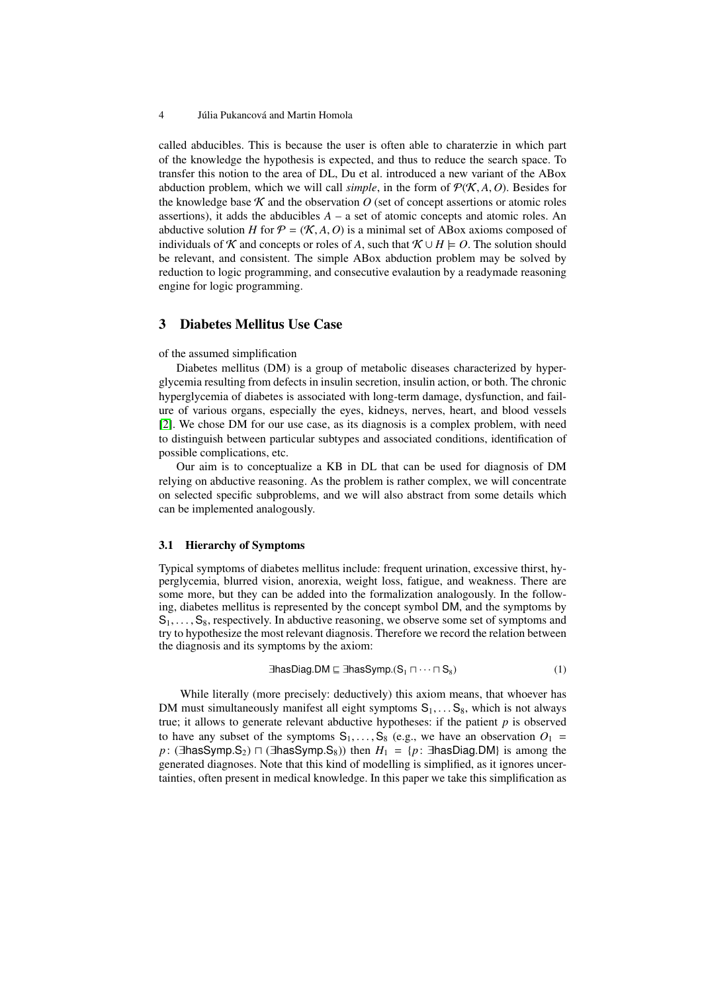called abducibles. This is because the user is often able to charaterzie in which part of the knowledge the hypothesis is expected, and thus to reduce the search space. To transfer this notion to the area of DL, Du et al. introduced a new variant of the ABox abduction problem, which we will call *simple*, in the form of  $P(K, A, O)$ . Besides for the knowledge base  $K$  and the observation  $O$  (set of concept assertions or atomic roles assertions), it adds the abducibles  $A - a$  set of atomic concepts and atomic roles. An abductive solution *H* for  $P = (K, A, O)$  is a minimal set of ABox axioms composed of individuals of K and concepts or roles of A, such that  $K \cup H \models O$ . The solution should be relevant, and consistent. The simple ABox abduction problem may be solved by reduction to logic programming, and consecutive evalaution by a readymade reasoning engine for logic programming.

## 3 Diabetes Mellitus Use Case

#### of the assumed simplification

Diabetes mellitus (DM) is a group of metabolic diseases characterized by hyperglycemia resulting from defects in insulin secretion, insulin action, or both. The chronic hyperglycemia of diabetes is associated with long-term damage, dysfunction, and failure of various organs, especially the eyes, kidneys, nerves, heart, and blood vessels [\[2\]](#page-11-7). We chose DM for our use case, as its diagnosis is a complex problem, with need to distinguish between particular subtypes and associated conditions, identification of possible complications, etc.

Our aim is to conceptualize a KB in DL that can be used for diagnosis of DM relying on abductive reasoning. As the problem is rather complex, we will concentrate on selected specific subproblems, and we will also abstract from some details which can be implemented analogously.

#### <span id="page-3-1"></span>3.1 Hierarchy of Symptoms

Typical symptoms of diabetes mellitus include: frequent urination, excessive thirst, hyperglycemia, blurred vision, anorexia, weight loss, fatigue, and weakness. There are some more, but they can be added into the formalization analogously. In the following, diabetes mellitus is represented by the concept symbol DM, and the symptoms by  $S_1, \ldots, S_8$ , respectively. In abductive reasoning, we observe some set of symptoms and try to hypothesize the most relevant diagnosis. Therefore we record the relation between the diagnosis and its symptoms by the axiom:

<span id="page-3-0"></span>
$$
\exists \text{hasDiag.DM} \sqsubseteq \exists \text{hasSymp.}(S_1 \sqcap \cdots \sqcap S_8)
$$
 (1)

While literally (more precisely: deductively) this axiom means, that whoever has DM must simultaneously manifest all eight symptoms  $S_1, \ldots S_8$ , which is not always true; it allows to generate relevant abductive hypotheses: if the patient *p* is observed to have any subset of the symptoms  $S_1, \ldots, S_8$  (e.g., we have an observation  $O_1$  = *p*: (∃hasSymp.S<sub>2</sub>)  $\Box$  (∃hasSymp.S<sub>8</sub>)) then  $H_1 = \{p: \exists$ hasDiag.DM} is among the generated diagnoses. Note that this kind of modelling is simplified, as it ignores uncertainties, often present in medical knowledge. In this paper we take this simplification as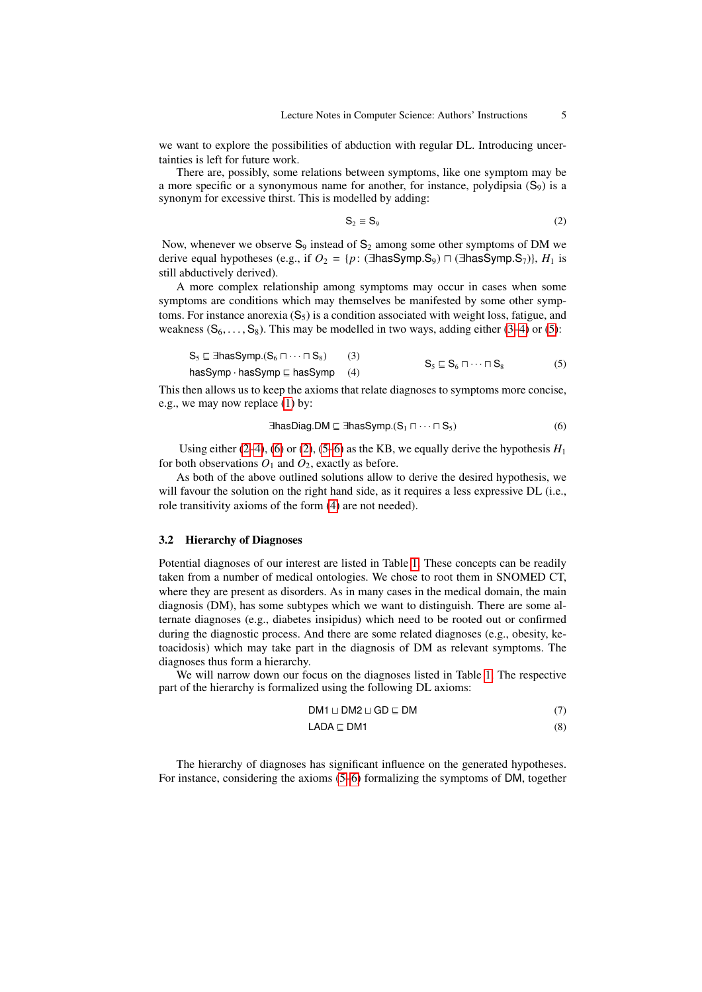we want to explore the possibilities of abduction with regular DL. Introducing uncertainties is left for future work.

There are, possibly, some relations between symptoms, like one symptom may be a more specific or a synonymous name for another, for instance, polydipsia  $(S_9)$  is a synonym for excessive thirst. This is modelled by adding:

<span id="page-4-3"></span><span id="page-4-2"></span>
$$
S_2 \equiv S_9 \tag{2}
$$

Now, whenever we observe  $S_9$  instead of  $S_2$  among some other symptoms of DM we derive equal hypotheses (e.g., if  $O_2 = {p : ( \exists \text{hasSymp.S}_9) \sqcap ( \exists \text{hasSymp.S}_7) }, H_1$  is still abductively derived).

A more complex relationship among symptoms may occur in cases when some symptoms are conditions which may themselves be manifested by some other symptoms. For instance anorexia  $(S_5)$  is a condition associated with weight loss, fatigue, and weakness  $(S_6, \ldots, S_8)$ . This may be modelled in two ways, adding either [\(3–](#page-4-0)[4\)](#page-4-1) or [\(5\)](#page-4-2):

$$
S_5 \sqsubseteq \exists \text{hasSymp.}(S_6 \sqcap \cdots \sqcap S_8) \qquad (3) \nhasSymp - hasSymp \sqsubseteq hasSymp \qquad (4) \qquad S_5 \sqsubseteq S_6 \sqcap \cdots \sqcap S_8 \qquad (5)
$$

This then allows us to keep the axioms that relate diagnoses to symptoms more concise, e.g., we may now replace [\(1\)](#page-3-0) by:

<span id="page-4-4"></span><span id="page-4-1"></span><span id="page-4-0"></span>
$$
\exists \text{hasDiag.DM} \sqsubseteq \exists \text{hasSymp.}(S_1 \sqcap \cdots \sqcap S_5) \tag{6}
$$

Using either [\(2](#page-4-3)[–4\)](#page-4-1), [\(6\)](#page-4-4) or [\(2\)](#page-4-3), [\(5](#page-4-2)[–6\)](#page-4-4) as the KB, we equally derive the hypothesis  $H_1$ for both observations  $O_1$  and  $O_2$ , exactly as before.

As both of the above outlined solutions allow to derive the desired hypothesis, we will favour the solution on the right hand side, as it requires a less expressive DL (i.e., role transitivity axioms of the form [\(4\)](#page-4-1) are not needed).

#### <span id="page-4-7"></span>3.2 Hierarchy of Diagnoses

Potential diagnoses of our interest are listed in Table [1.](#page-5-0) These concepts can be readily taken from a number of medical ontologies. We chose to root them in SNOMED CT, where they are present as disorders. As in many cases in the medical domain, the main diagnosis (DM), has some subtypes which we want to distinguish. There are some alternate diagnoses (e.g., diabetes insipidus) which need to be rooted out or confirmed during the diagnostic process. And there are some related diagnoses (e.g., obesity, ketoacidosis) which may take part in the diagnosis of DM as relevant symptoms. The diagnoses thus form a hierarchy.

We will narrow down our focus on the diagnoses listed in Table [1.](#page-5-0) The respective part of the hierarchy is formalized using the following DL axioms:

<span id="page-4-6"></span><span id="page-4-5"></span>
$$
DM1 \sqcup DM2 \sqcup GD \sqsubseteq DM
$$
 (7)

$$
LADA \sqsubseteq DM1 \tag{8}
$$

The hierarchy of diagnoses has significant influence on the generated hypotheses. For instance, considering the axioms [\(5](#page-4-2)[–6\)](#page-4-4) formalizing the symptoms of DM, together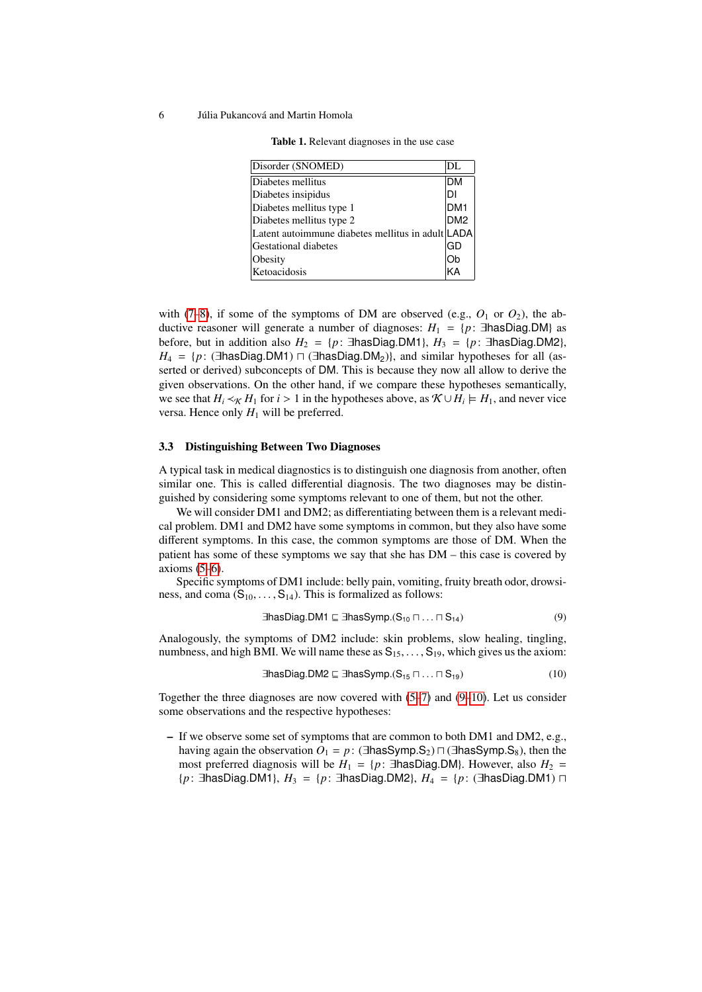<span id="page-5-0"></span>

| Disorder (SNOMED)                                 | DL              |
|---------------------------------------------------|-----------------|
| Diabetes mellitus                                 | <b>DM</b>       |
| Diabetes insipidus                                | ۰DI             |
| Diabetes mellitus type 1                          | DM <sub>1</sub> |
| Diabetes mellitus type 2                          | DM <sub>2</sub> |
| Latent autoimmune diabetes mellitus in adult LADA |                 |
| <b>Gestational diabetes</b>                       | GD              |
| Obesity                                           | Ob              |
| Ketoacidosis                                      | KΔ              |

Table 1. Relevant diagnoses in the use case

with [\(7–](#page-4-5)[8\)](#page-4-6), if some of the symptoms of DM are observed (e.g.,  $O_1$  or  $O_2$ ), the abductive reasoner will generate a number of diagnoses:  $H_1 = \{p : \exists$ hasDiag.DM} as before, but in addition also  $H_2 = \{p : \exists$ hasDiag.DM1},  $H_3 = \{p : \exists$ hasDiag.DM2},  $H_4 = \{p : (\exists \text{hasDiag.DM1}) \sqcap (\exists \text{hasDiag.DM}_2)\},\$ and similar hypotheses for all (asserted or derived) subconcepts of DM. This is because they now all allow to derive the given observations. On the other hand, if we compare these hypotheses semantically, we see that  $H_i \prec_K H_1$  for  $i > 1$  in the hypotheses above, as  $K \cup H_i \models H_1$ , and never vice versa. Hence only  $H_1$  will be preferred.

#### 3.3 Distinguishing Between Two Diagnoses

A typical task in medical diagnostics is to distinguish one diagnosis from another, often similar one. This is called differential diagnosis. The two diagnoses may be distinguished by considering some symptoms relevant to one of them, but not the other.

We will consider DM1 and DM2; as differentiating between them is a relevant medical problem. DM1 and DM2 have some symptoms in common, but they also have some different symptoms. In this case, the common symptoms are those of DM. When the patient has some of these symptoms we say that she has DM – this case is covered by axioms [\(5](#page-4-2)[–6\)](#page-4-4).

Specific symptoms of DM1 include: belly pain, vomiting, fruity breath odor, drowsiness, and coma  $(S_{10}, \ldots, S_{14})$ . This is formalized as follows:

<span id="page-5-2"></span><span id="page-5-1"></span>
$$
\exists \text{hasDiag.DM1} \sqsubseteq \exists \text{hasSymp}.(\mathsf{S}_{10} \sqcap \ldots \sqcap \mathsf{S}_{14}) \tag{9}
$$

Analogously, the symptoms of DM2 include: skin problems, slow healing, tingling, numbness, and high BMI. We will name these as  $S_{15}$ , ...,  $S_{19}$ , which gives us the axiom:

$$
\exists \text{hasDiag.DM2} \sqsubseteq \exists \text{hasSymp.}(S_{15} \sqcap \ldots \sqcap S_{19}) \tag{10}
$$

Together the three diagnoses are now covered with [\(5](#page-4-2)[–7\)](#page-4-5) and [\(9–](#page-5-1)[10\)](#page-5-2). Let us consider some observations and the respective hypotheses:

– If we observe some set of symptoms that are common to both DM1 and DM2, e.g., having again the observation  $O_1 = p$ : (∃hasSymp.S<sub>2</sub>)  $\Box$  (∃hasSymp.S<sub>8</sub>), then the most preferred diagnosis will be  $H_1 = \{p : \exists$ hasDiag.DM}. However, also  $H_2 =$ {*p*: ∃hasDiag.DM1},  $H_3 = {p: \exists$ hasDiag.DM2},  $H_4 = {p: \exists}$ hasDiag.DM1)  $\sqcap$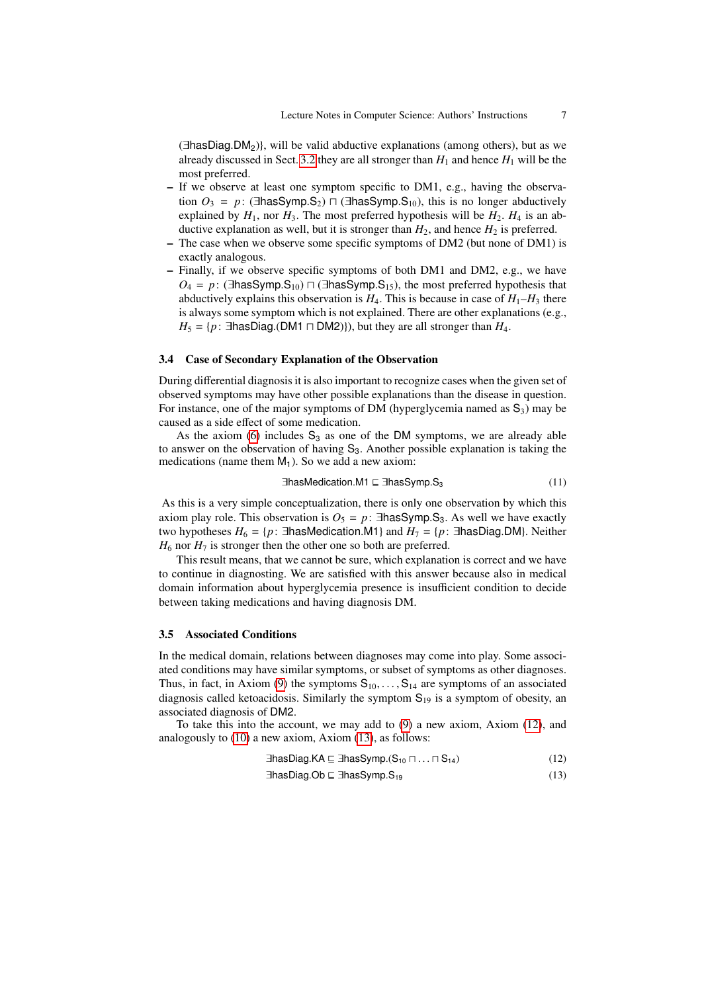(∃hasDiag.DM2)}, will be valid abductive explanations (among others), but as we already discussed in Sect. [3.2](#page-4-7) they are all stronger than  $H_1$  and hence  $H_1$  will be the most preferred.

- If we observe at least one symptom specific to DM1, e.g., having the observation  $O_3 = p$ : (∃hasSymp.S<sub>2</sub>)  $\Box$  (∃hasSymp.S<sub>10</sub>), this is no longer abductively explained by  $H_1$ , nor  $H_3$ . The most preferred hypothesis will be  $H_2$ .  $H_4$  is an abductive explanation as well, but it is stronger than  $H_2$ , and hence  $H_2$  is preferred.
- The case when we observe some specific symptoms of DM2 (but none of DM1) is exactly analogous.
- Finally, if we observe specific symptoms of both DM1 and DM2, e.g., we have  $O_4$  = *p*: (∃hasSymp.S<sub>10</sub>)  $\sqcap$  (∃hasSymp.S<sub>15</sub>), the most preferred hypothesis that abductively explains this observation is  $H_4$ . This is because in case of  $H_1$ – $H_3$  there is always some symptom which is not explained. There are other explanations (e.g.,  $H_5 = \{p : \exists$ hasDiag.(DM1  $\sqcap$  DM2)}), but they are all stronger than  $H_4$ .

#### 3.4 Case of Secondary Explanation of the Observation

During differential diagnosis it is also important to recognize cases when the given set of observed symptoms may have other possible explanations than the disease in question. For instance, one of the major symptoms of DM (hyperglycemia named as  $S_3$ ) may be caused as a side effect of some medication.

As the axiom [\(6\)](#page-4-4) includes  $S_3$  as one of the DM symptoms, we are already able to answer on the observation of having  $S_3$ . Another possible explanation is taking the medications (name them  $M_1$ ). So we add a new axiom:

$$
\exists has Medication.M1 \sqsubseteq \exists hasSymp.S_3 \tag{11}
$$

As this is a very simple conceptualization, there is only one observation by which this axiom play role. This observation is  $O_5 = p$ : ∃hasSymp.S<sub>3</sub>. As well we have exactly two hypotheses  $H_6 = \{p : \exists$ hasMedication.M1} and  $H_7 = \{p : \exists$ hasDiag.DM}. Neither  $H_6$  nor  $H_7$  is stronger then the other one so both are preferred.

This result means, that we cannot be sure, which explanation is correct and we have to continue in diagnosting. We are satisfied with this answer because also in medical domain information about hyperglycemia presence is insufficient condition to decide between taking medications and having diagnosis DM.

#### 3.5 Associated Conditions

In the medical domain, relations between diagnoses may come into play. Some associated conditions may have similar symptoms, or subset of symptoms as other diagnoses. Thus, in fact, in Axiom [\(9\)](#page-5-1) the symptoms  $S_{10}, \ldots, S_{14}$  are symptoms of an associated diagnosis called ketoacidosis. Similarly the symptom  $S_{19}$  is a symptom of obesity, an associated diagnosis of DM2.

To take this into the account, we may add to [\(9\)](#page-5-1) a new axiom, Axiom [\(12\)](#page-6-0), and analogously to [\(10\)](#page-5-2) a new axiom, Axiom [\(13\)](#page-6-1), as follows:

<span id="page-6-1"></span><span id="page-6-0"></span>
$$
\exists \text{hasDiag.KA} \sqsubseteq \exists \text{hasSymp}.(\mathbf{S}_{10} \sqcap ... \sqcap \mathbf{S}_{14}) \tag{12}
$$

$$
\exists \text{hasDiag.Ob} \sqsubseteq \exists \text{hasSymp.}\mathbf{S}_{19} \tag{13}
$$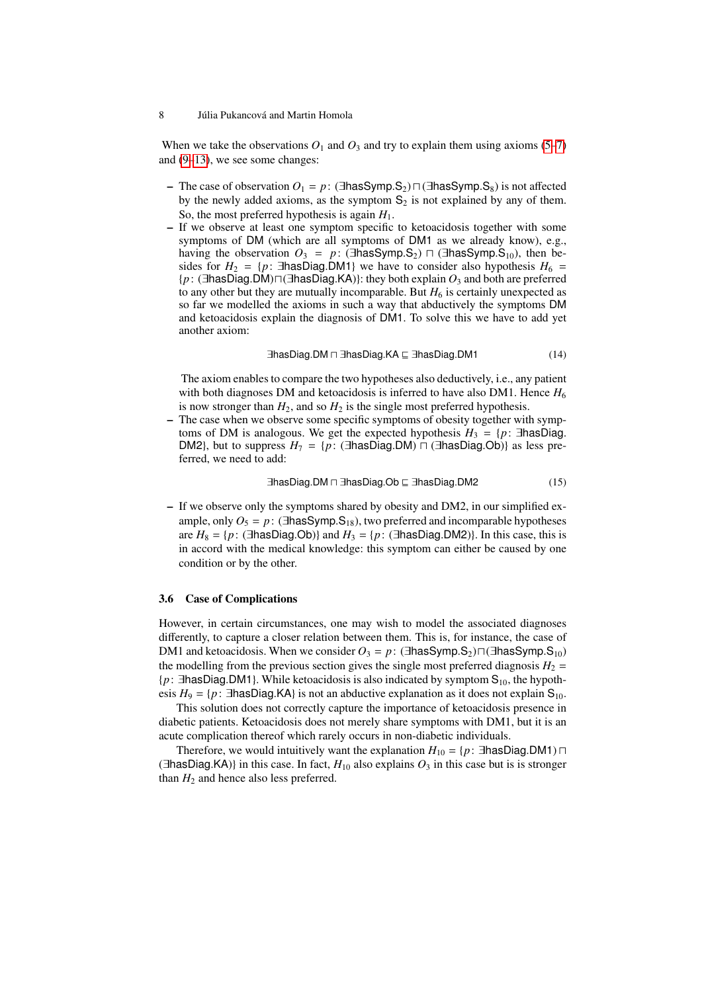When we take the observations  $O_1$  and  $O_3$  and try to explain them using axioms [\(5](#page-4-2)[–7\)](#page-4-5) and [\(9–](#page-5-1)[13\)](#page-6-1), we see some changes:

- The case of observation  $O_1 = p$ : (∃hasSymp.S<sub>2</sub>)  $\Box$  (∃hasSymp.S<sub>8</sub>) is not affected by the newly added axioms, as the symptom  $S_2$  is not explained by any of them. So, the most preferred hypothesis is again *H*1.
- If we observe at least one symptom specific to ketoacidosis together with some symptoms of DM (which are all symptoms of DM1 as we already know), e.g., having the observation  $O_3 = p$ : (∃hasSymp.S<sub>2</sub>)  $\Box$  (∃hasSymp.S<sub>10</sub>), then besides for  $H_2 = \{p: \exists$ hasDiag.DM1} we have to consider also hypothesis  $H_6 =$ {*p*: (∃hasDiag.DM) $\sqcap$ (∃hasDiag.KA)}: they both explain  $O_3$  and both are preferred to any other but they are mutually incomparable. But  $H_6$  is certainly unexpected as so far we modelled the axioms in such a way that abductively the symptoms DM and ketoacidosis explain the diagnosis of DM1. To solve this we have to add yet another axiom:

<span id="page-7-0"></span>
$$
\exists \text{hasDiag.DM} \sqcap \exists \text{hasDiag.KA} \sqsubseteq \exists \text{hasDiag.DM1} \tag{14}
$$

The axiom enables to compare the two hypotheses also deductively, i.e., any patient with both diagnoses DM and ketoacidosis is inferred to have also DM1. Hence  $H_6$ is now stronger than  $H_2$ , and so  $H_2$  is the single most preferred hypothesis.

– The case when we observe some specific symptoms of obesity together with symptoms of DM is analogous. We get the expected hypothesis  $H_3 = \{p: \exists$ hasDiag. DM2}, but to suppress  $H_7 = \{p : (\exists \text{hasDiag.DM}) \sqcap (\exists \text{hasDiag.Ob})\}$  as less preferred, we need to add:

$$
\exists \text{hasDiag.DM} \sqcap \exists \text{hasDiag.Ob} \sqsubseteq \exists \text{hasDiag.DM2} \tag{15}
$$

– If we observe only the symptoms shared by obesity and DM2, in our simplified example, only  $O_5 = p$ : (∃hasSymp.S<sub>18</sub>), two preferred and incomparable hypotheses are  $H_8 = \{p : (\exists \text{hasDiag.Ob})\}$  and  $H_3 = \{p : (\exists \text{hasDiag.DM2})\}$ . In this case, this is in accord with the medical knowledge: this symptom can either be caused by one condition or by the other.

## 3.6 Case of Complications

However, in certain circumstances, one may wish to model the associated diagnoses differently, to capture a closer relation between them. This is, for instance, the case of DM1 and ketoacidosis. When we consider  $O_3 = p$ : (∃hasSymp.S<sub>2</sub>) $\Box$ (∃hasSymp.S<sub>10</sub>) the modelling from the previous section gives the single most preferred diagnosis  $H_2$  = {*p*: ∃hasDiag.DM1}. While ketoacidosis is also indicated by symptom S<sub>10</sub>, the hypothesis  $H_9 = \{p: \exists$ hasDiag.KA} is not an abductive explanation as it does not explain S<sub>10</sub>.

This solution does not correctly capture the importance of ketoacidosis presence in diabetic patients. Ketoacidosis does not merely share symptoms with DM1, but it is an acute complication thereof which rarely occurs in non-diabetic individuals.

Therefore, we would intuitively want the explanation  $H_{10} = \{p : \exists$ hasDiag.DM1)  $\sqcap$ ( $\exists$ hasDiag.KA)} in this case. In fact,  $H_{10}$  also explains  $O_3$  in this case but is is stronger than  $H_2$  and hence also less preferred.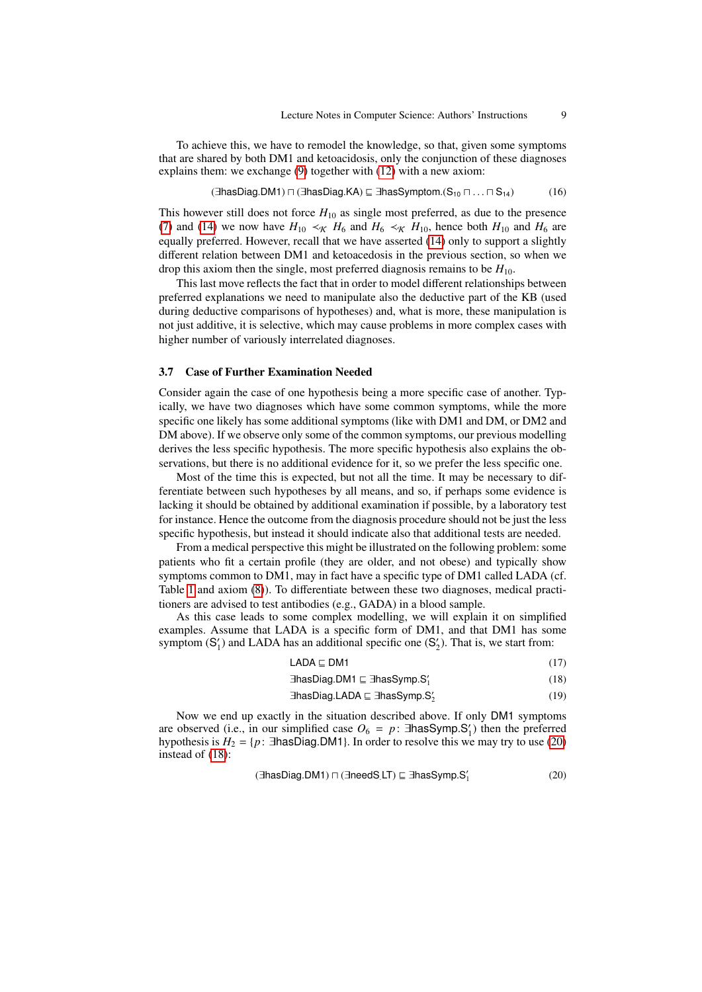To achieve this, we have to remodel the knowledge, so that, given some symptoms that are shared by both DM1 and ketoacidosis, only the conjunction of these diagnoses explains them: we exchange [\(9\)](#page-5-1) together with [\(12\)](#page-6-0) with a new axiom:

$$
(\exists \text{hasDiag.DM1}) \sqcap (\exists \text{hasDiag.KA}) \sqsubseteq \exists \text{hasSymptom.(S_{10} \sqcap \ldots \sqcap S_{14})
$$
 (16)

This however still does not force  $H_{10}$  as single most preferred, as due to the presence [\(7\)](#page-4-5) and [\(14\)](#page-7-0) we now have  $H_{10} \prec_{\mathcal{K}} H_6$  and  $H_6 \prec_{\mathcal{K}} H_{10}$ , hence both  $H_{10}$  and  $H_6$  are equally preferred. However, recall that we have asserted [\(14\)](#page-7-0) only to support a slightly different relation between DM1 and ketoacedosis in the previous section, so when we drop this axiom then the single, most preferred diagnosis remains to be *H*10.

This last move reflects the fact that in order to model different relationships between preferred explanations we need to manipulate also the deductive part of the KB (used during deductive comparisons of hypotheses) and, what is more, these manipulation is not just additive, it is selective, which may cause problems in more complex cases with higher number of variously interrelated diagnoses.

#### 3.7 Case of Further Examination Needed

Consider again the case of one hypothesis being a more specific case of another. Typically, we have two diagnoses which have some common symptoms, while the more specific one likely has some additional symptoms (like with DM1 and DM, or DM2 and DM above). If we observe only some of the common symptoms, our previous modelling derives the less specific hypothesis. The more specific hypothesis also explains the observations, but there is no additional evidence for it, so we prefer the less specific one.

Most of the time this is expected, but not all the time. It may be necessary to differentiate between such hypotheses by all means, and so, if perhaps some evidence is lacking it should be obtained by additional examination if possible, by a laboratory test for instance. Hence the outcome from the diagnosis procedure should not be just the less specific hypothesis, but instead it should indicate also that additional tests are needed.

From a medical perspective this might be illustrated on the following problem: some patients who fit a certain profile (they are older, and not obese) and typically show symptoms common to DM1, may in fact have a specific type of DM1 called LADA (cf. Table [1](#page-5-0) and axiom [\(8\)](#page-4-6)). To differentiate between these two diagnoses, medical practitioners are advised to test antibodies (e.g., GADA) in a blood sample.

As this case leads to some complex modelling, we will explain it on simplified examples. Assume that LADA is a specific form of DM1, and that DM1 has some symptom  $(S'_1)$  and LADA has an additional specific one  $(S'_2)$ . That is, we start from:

<span id="page-8-3"></span><span id="page-8-1"></span>

|  | (17) |
|--|------|

<span id="page-8-2"></span>
$$
\exists \text{hasDiag.DM1} \sqsubseteq \exists \text{hasSymp.S}'_1 \tag{18}
$$

<span id="page-8-0"></span>∃hasDiag.LADA ⊑ ∃hasSymp.S $'_2$ (19)

Now we end up exactly in the situation described above. If only DM1 symptoms are observed (i.e., in our simplified case  $O_6 = p$ : ∃hasSymp.S'<sub>1</sub>) then the preferred<br>hypothesis is  $H_2 = \{p : \exists$ hasDiag DM1} In order to resolve this we may try to use (20) hypothesis is  $H_2 = \{p : \exists$ hasDiag.DM1}. In order to resolve this we may try to use [\(20\)](#page-8-0) instead of [\(18\)](#page-8-1):

$$
(\exists \text{hasDiag.DM1}) \sqcap (\exists \text{needs} \sqcup \text{T}) \sqsubseteq \exists \text{hasSymp.S}'_1 \tag{20}
$$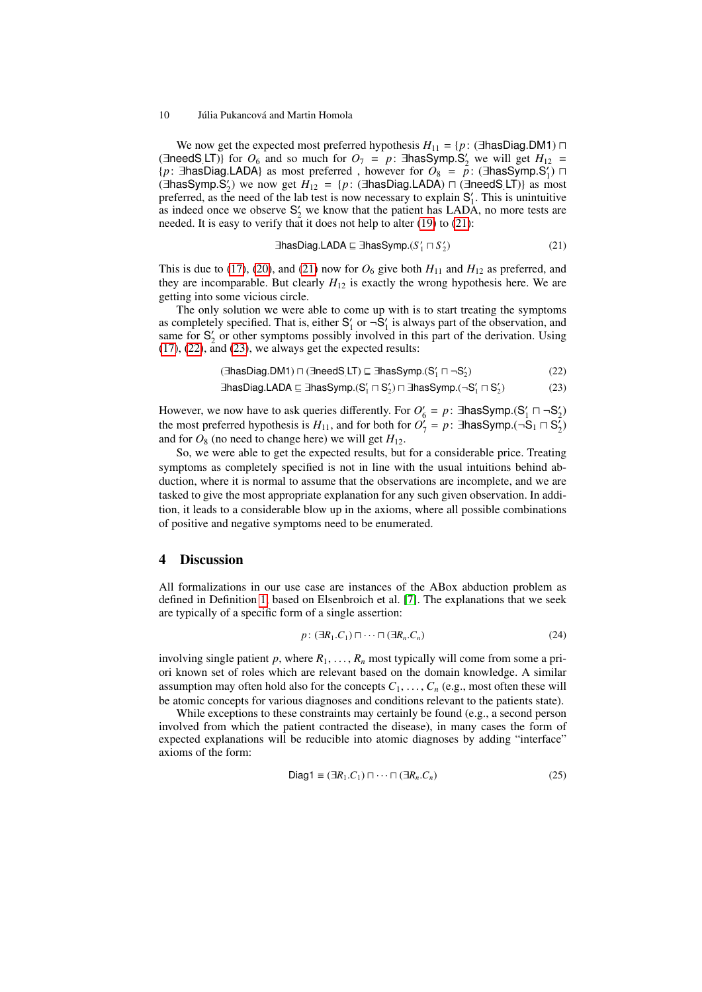We now get the expected most preferred hypothesis  $H_{11} = \{p : (\exists \text{hasDiag.DM1}) \sqcap$ (∃needS.LT)} for  $O_6$  and so much for  $O_7 = p$ : ∃hasSymp.S'<sub>2</sub> we will get  $H_{12} = \{p : \exists$ hasDiag LADA) as most preferred however for  $O_8 = p$ : (∃hasSymp.S') □  ${p: \exists}$ hasDiag.LADA} as most preferred, however for  $O_8 = p$ : ( $\exists$ hasSymp.S'<sub>1</sub>)  $\sqcap$ <br>(∃hasSymp.S') we now get  $H_{12} = {p: \exists}$  (∃hasDiag LADA)  $\sqcap$  (∃needS LT)} as most  $(3)$  **Finally**  $S_2$  we now get  $H_{12} = \{p:$  ( $\exists$ **hasDiag.LADA**)  $\sqcap$  ( $\exists$ **needS.LT**)} as most preferred as the need of the lab test is now necessary to explain S'. This is unintuitive preferred, as the need of the lab test is now necessary to explain  $S'_1$ . This is unintuitive as indeed once we observe  $S_2'$  we know that the patient has LADA, no more tests are needed. It is easy to verify that it does not help to alter [\(19\)](#page-8-2) to [\(21\)](#page-9-0):

<span id="page-9-2"></span><span id="page-9-1"></span><span id="page-9-0"></span>
$$
\exists \text{hasDiag.LADA} \sqsubseteq \exists \text{hasSymp}. (S'_1 \sqcap S'_2) \tag{21}
$$

This is due to [\(17\)](#page-8-3), [\(20\)](#page-8-0), and [\(21\)](#page-9-0) now for  $O_6$  give both  $H_{11}$  and  $H_{12}$  as preferred, and they are incomparable. But clearly  $H_{12}$  is exactly the wrong hypothesis here. We are getting into some vicious circle.

The only solution we were able to come up with is to start treating the symptoms as completely specified. That is, either  $S'_1$  or  $\neg S'_1$  is always part of the observation, and same for  $S'_2$  or other symptoms possibly involved in this part of the derivation. Using [\(17\)](#page-8-3), [\(22\)](#page-9-1), and [\(23\)](#page-9-2), we always get the expected results:

$$
(\exists \text{hasDiag.DM1}) \sqcap (\exists \text{needs} \sqcup \text{T}) \sqsubseteq \exists \text{hasSymp.}(S_1' \sqcap \neg S_2')
$$
(22)

$$
\exists \text{hasDiag.LADA} \sqsubseteq \exists \text{hasSymp.}(S_1' \sqcap S_2') \sqcap \exists \text{hasSymp.}(\neg S_1' \sqcap S_2') \tag{23}
$$

However, we now have to ask queries differently. For  $O'_6 = p$ : ∃hasSymp.(S'<sub>1</sub>  $\Box$   $\neg S'_2$ )<br>the most preferred hypothesis is  $H_{\text{tot}}$  and for both for  $O'_1 = p$ : ∃hasSymp.( $\neg S_1 \Box S'_1$ ) the most preferred hypothesis is  $H_{11}$ , and for both for  $O_7^{\gamma} = p$ : ∃hasSymp.(¬S<sub>1</sub>  $\Box$ S<sub>2</sub>) and for  $O_8$  (no need to change here) we will get  $H_{12}$ .

So, we were able to get the expected results, but for a considerable price. Treating symptoms as completely specified is not in line with the usual intuitions behind abduction, where it is normal to assume that the observations are incomplete, and we are tasked to give the most appropriate explanation for any such given observation. In addition, it leads to a considerable blow up in the axioms, where all possible combinations of positive and negative symptoms need to be enumerated.

## 4 Discussion

All formalizations in our use case are instances of the ABox abduction problem as defined in Definition [1,](#page-1-0) based on Elsenbroich et al. [\[7\]](#page-11-1). The explanations that we seek are typically of a specific form of a single assertion:

<span id="page-9-3"></span>
$$
p: (\exists R_1.C_1) \sqcap \cdots \sqcap (\exists R_n.C_n)
$$
\n
$$
(24)
$$

involving single patient  $p$ , where  $R_1, \ldots, R_n$  most typically will come from some a priori known set of roles which are relevant based on the domain knowledge. A similar assumption may often hold also for the concepts  $C_1, \ldots, C_n$  (e.g., most often these will be atomic concepts for various diagnoses and conditions relevant to the patients state).

While exceptions to these constraints may certainly be found (e.g., a second person involved from which the patient contracted the disease), in many cases the form of expected explanations will be reducible into atomic diagnoses by adding "interface" axioms of the form:

$$
\text{Diag1} \equiv (\exists R_1.C_1) \sqcap \cdots \sqcap (\exists R_n.C_n) \tag{25}
$$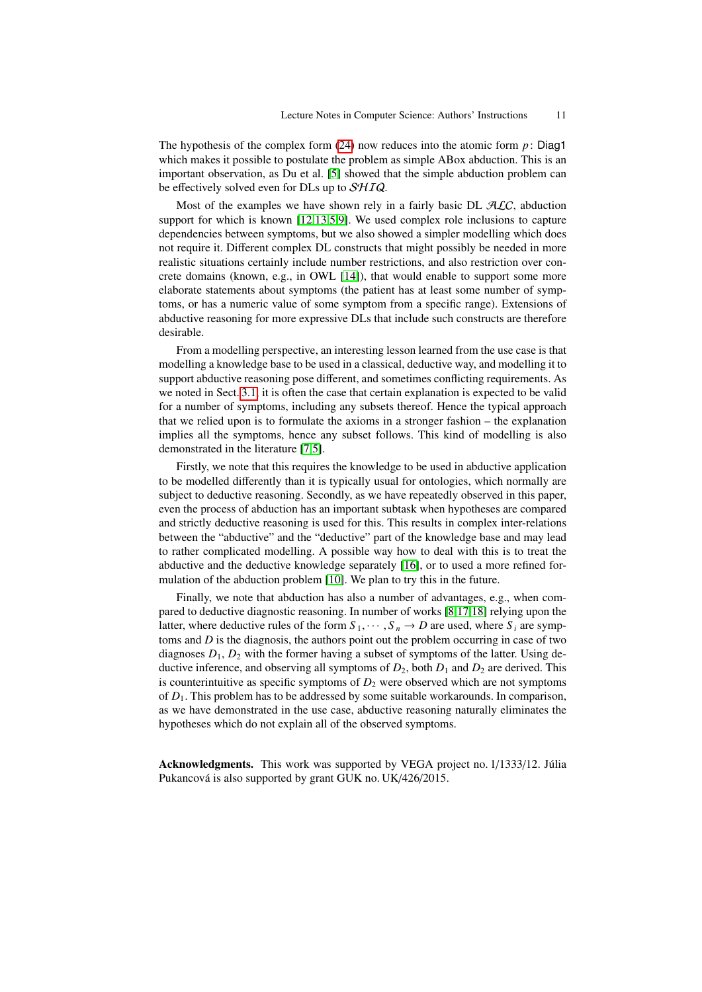The hypothesis of the complex form  $(24)$  now reduces into the atomic form  $p$ : Diag1 which makes it possible to postulate the problem as simple ABox abduction. This is an important observation, as Du et al. [\[5\]](#page-11-11) showed that the simple abduction problem can be effectively solved even for DLs up to  $\mathcal{SHIQ}$ .

Most of the examples we have shown rely in a fairly basic DL  $ALC$ , abduction support for which is known [\[12,](#page-11-8)[13,](#page-11-9)[5,](#page-11-11)[9\]](#page-11-5). We used complex role inclusions to capture dependencies between symptoms, but we also showed a simpler modelling which does not require it. Different complex DL constructs that might possibly be needed in more realistic situations certainly include number restrictions, and also restriction over concrete domains (known, e.g., in OWL [\[14\]](#page-11-13)), that would enable to support some more elaborate statements about symptoms (the patient has at least some number of symptoms, or has a numeric value of some symptom from a specific range). Extensions of abductive reasoning for more expressive DLs that include such constructs are therefore desirable.

From a modelling perspective, an interesting lesson learned from the use case is that modelling a knowledge base to be used in a classical, deductive way, and modelling it to support abductive reasoning pose different, and sometimes conflicting requirements. As we noted in Sect. [3.1,](#page-3-1) it is often the case that certain explanation is expected to be valid for a number of symptoms, including any subsets thereof. Hence the typical approach that we relied upon is to formulate the axioms in a stronger fashion – the explanation implies all the symptoms, hence any subset follows. This kind of modelling is also demonstrated in the literature [\[7,](#page-11-1)[5\]](#page-11-11).

Firstly, we note that this requires the knowledge to be used in abductive application to be modelled differently than it is typically usual for ontologies, which normally are subject to deductive reasoning. Secondly, as we have repeatedly observed in this paper, even the process of abduction has an important subtask when hypotheses are compared and strictly deductive reasoning is used for this. This results in complex inter-relations between the "abductive" and the "deductive" part of the knowledge base and may lead to rather complicated modelling. A possible way how to deal with this is to treat the abductive and the deductive knowledge separately [\[16\]](#page-11-4), or to used a more refined formulation of the abduction problem [\[10\]](#page-11-14). We plan to try this in the future.

Finally, we note that abduction has also a number of advantages, e.g., when compared to deductive diagnostic reasoning. In number of works [\[8,](#page-11-15)[17,](#page-11-16)[18\]](#page-12-0) relying upon the latter, where deductive rules of the form  $S_1, \dots, S_n \to D$  are used, where  $S_i$  are symptoms and *D* is the diagnosis, the authors point out the problem occurring in case of two diagnoses  $D_1$ ,  $D_2$  with the former having a subset of symptoms of the latter. Using deductive inference, and observing all symptoms of  $D_2$ , both  $D_1$  and  $D_2$  are derived. This is counterintuitive as specific symptoms of  $D_2$  were observed which are not symptoms of *D*1. This problem has to be addressed by some suitable workarounds. In comparison, as we have demonstrated in the use case, abductive reasoning naturally eliminates the hypotheses which do not explain all of the observed symptoms.

Acknowledgments. This work was supported by VEGA project no. 1/1333/12. Júlia Pukancová is also supported by grant GUK no. UK/426/2015.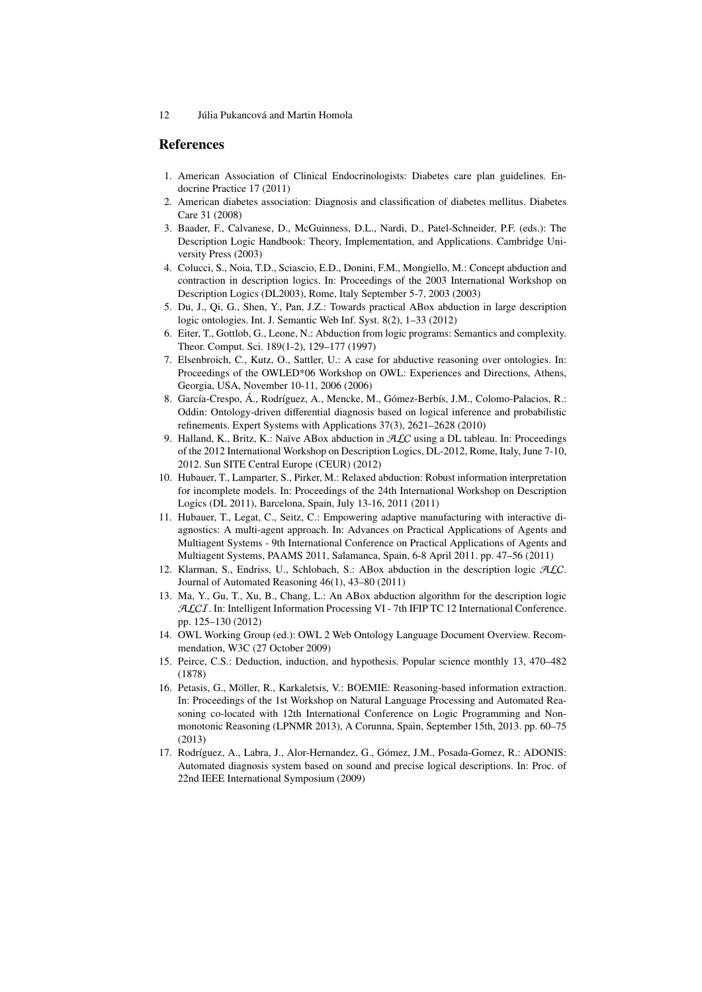## References

- <span id="page-11-6"></span>1. American Association of Clinical Endocrinologists: Diabetes care plan guidelines. Endocrine Practice 17 (2011)
- <span id="page-11-7"></span>2. American diabetes association: Diagnosis and classification of diabetes mellitus. Diabetes Care 31 (2008)
- <span id="page-11-10"></span>3. Baader, F., Calvanese, D., McGuinness, D.L., Nardi, D., Patel-Schneider, P.F. (eds.): The Description Logic Handbook: Theory, Implementation, and Applications. Cambridge University Press (2003)
- <span id="page-11-2"></span>4. Colucci, S., Noia, T.D., Sciascio, E.D., Donini, F.M., Mongiello, M.: Concept abduction and contraction in description logics. In: Proceedings of the 2003 International Workshop on Description Logics (DL2003), Rome, Italy September 5-7, 2003 (2003)
- <span id="page-11-11"></span>5. Du, J., Qi, G., Shen, Y., Pan, J.Z.: Towards practical ABox abduction in large description logic ontologies. Int. J. Semantic Web Inf. Syst. 8(2), 1–33 (2012)
- <span id="page-11-12"></span>6. Eiter, T., Gottlob, G., Leone, N.: Abduction from logic programs: Semantics and complexity. Theor. Comput. Sci. 189(1-2), 129–177 (1997)
- <span id="page-11-1"></span>7. Elsenbroich, C., Kutz, O., Sattler, U.: A case for abductive reasoning over ontologies. In: Proceedings of the OWLED\*06 Workshop on OWL: Experiences and Directions, Athens, Georgia, USA, November 10-11, 2006 (2006)
- <span id="page-11-15"></span>8. García-Crespo, Á., Rodríguez, A., Mencke, M., Gómez-Berbís, J.M., Colomo-Palacios, R.: Oddin: Ontology-driven differential diagnosis based on logical inference and probabilistic refinements. Expert Systems with Applications 37(3), 2621–2628 (2010)
- <span id="page-11-5"></span>9. Halland, K., Britz, K.: Naïve ABox abduction in ALC using a DL tableau. In: Proceedings of the 2012 International Workshop on Description Logics, DL-2012, Rome, Italy, June 7-10, 2012. Sun SITE Central Europe (CEUR) (2012)
- <span id="page-11-14"></span>10. Hubauer, T., Lamparter, S., Pirker, M.: Relaxed abduction: Robust information interpretation for incomplete models. In: Proceedings of the 24th International Workshop on Description Logics (DL 2011), Barcelona, Spain, July 13-16, 2011 (2011)
- <span id="page-11-3"></span>11. Hubauer, T., Legat, C., Seitz, C.: Empowering adaptive manufacturing with interactive diagnostics: A multi-agent approach. In: Advances on Practical Applications of Agents and Multiagent Systems - 9th International Conference on Practical Applications of Agents and Multiagent Systems, PAAMS 2011, Salamanca, Spain, 6-8 April 2011. pp. 47–56 (2011)
- <span id="page-11-8"></span>12. Klarman, S., Endriss, U., Schlobach, S.: ABox abduction in the description logic ALC. Journal of Automated Reasoning 46(1), 43–80 (2011)
- <span id="page-11-9"></span>13. Ma, Y., Gu, T., Xu, B., Chang, L.: An ABox abduction algorithm for the description logic ALCI. In: Intelligent Information Processing VI - 7th IFIP TC 12 International Conference. pp. 125–130 (2012)
- <span id="page-11-13"></span>14. OWL Working Group (ed.): OWL 2 Web Ontology Language Document Overview. Recommendation, W3C (27 October 2009)
- <span id="page-11-0"></span>15. Peirce, C.S.: Deduction, induction, and hypothesis. Popular science monthly 13, 470–482 (1878)
- <span id="page-11-4"></span>16. Petasis, G., Möller, R., Karkaletsis, V.: BOEMIE: Reasoning-based information extraction. In: Proceedings of the 1st Workshop on Natural Language Processing and Automated Reasoning co-located with 12th International Conference on Logic Programming and Nonmonotonic Reasoning (LPNMR 2013), A Corunna, Spain, September 15th, 2013. pp. 60–75 (2013)
- <span id="page-11-16"></span>17. Rodríguez, A., Labra, J., Alor-Hernandez, G., Gómez, J.M., Posada-Gomez, R.: ADONIS: Automated diagnosis system based on sound and precise logical descriptions. In: Proc. of 22nd IEEE International Symposium (2009)